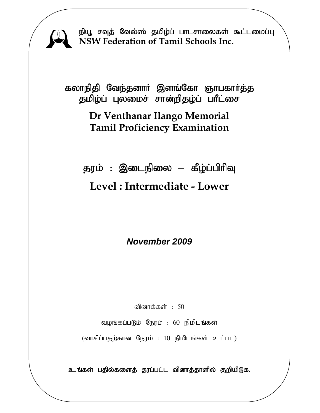.<br>நியூ சவுத் வேல்ஸ் தமிழ்ப் பாடசாலைகள் கூட்டமை<mark>ப்பு</mark> **NSW Federation of Tamil Schools Inc.**

கலாநிதி வேந்தனார் இளங்கோ ஞாபகார்த்த தமிழ்ப் புலமைச் சான்றிதழ்ப் பாீட்சை

## **Dr Venthanar Ilango Memorial Tamil Proficiency Examination**

தரம் : இடைநிலை – கீழ்ப்பிரிவு **Level : Intermediate - Lower** 

*November 2009* 

வினாக்கள்  $: 50$ 

வழங்கப்படும் நேரம் : 60 நிமிடங்கள்

 $(\text{diff-Lu} - \text{g} - \text{g} - \text{g} - \text{g} - \text{g} - \text{g} - \text{g} - \text{g} - \text{g} - \text{g} - \text{g} - \text{g} - \text{g} - \text{g} - \text{g} - \text{g} - \text{g} - \text{g} - \text{g} - \text{g} - \text{g} - \text{g} - \text{g} - \text{g} - \text{g} - \text{g} - \text{g} - \text{g} - \text{g} - \text{g} - \text{g} - \text{g} - \text{g} - \text{g} - \text{g} - \$ 

உங்கள் பதில்களைத் தரப்பட்ட வினாத்தாளில் குறியிடுக.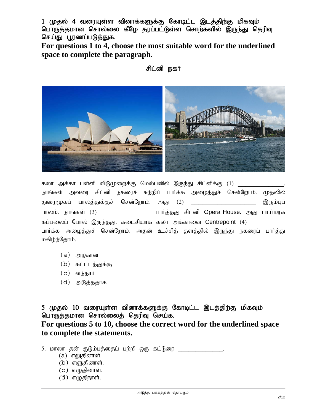1 (மதல் 4 வரையுள்ள வினாக்களுக்கு கோடிட்ட இடத்திற்கு மிகவும் பொருத்தமான சொல்லை கீழே தரப்பட்டுள்ள சொற்களில் இருந்து தெரிவு செய்து பூரணப்படுத்துக.

**For questions 1 to 4, choose the most suitable word for the underlined space to complete the paragraph.** 

#### <u>சிட்னி நகர்</u>



கலா அக்கா பள்ளி விடுமுறைக்கு மெல்பனில் இருந்து சிட்னிக்கு (1) \_\_\_\_\_\_\_\_\_\_\_ நாங்கள் அவரை சிட்னி நகரைச் சுற்றிப் பார்க்க அழைத்துச் சென்றோம். முதலில் துறைமுகப் பாலத்துக்குச் சென்றோம். அது (2) \_\_\_\_\_\_\_\_\_\_\_\_\_\_\_\_\_\_\_\_\_ இரும்புப் பாலம். நாங்கள் (3) \_\_\_\_\_\_\_\_\_\_\_\_\_\_ பார்த்தது சிட்னி Opera House. அது பாய்மரக் கப்பலைப் போல் இருந்தது. கடைசியாக கலா அக்காவை Centrepoint (4) \_\_\_\_\_\_\_\_\_\_\_\_\_ பார்க்க அழைத்துச் சென்றோம். அதன் உச்சித் தளத்தில் இருந்து நகரைப் பார்த்து மகிழ்ந்தோம்.

- $(a)$  அழகான
- $(b)$  கட்டடத்துக்கு
- $(c)$  வந்தார்
- $(d)$  அடுத்ததாக

5 (ழதல் 10 வரையுள்ள வினாக்களுக்கு கோடிட்ட இடத்திற்கு மிகவும் பொருத்தமான சொல்லைத் தெரிவு செய்க.

**For questions 5 to 10, choose the correct word for the underlined space to complete the statements.** 

5. மாலா தன் குடும்பத்தைப் பற்றி ஒரு கட்டுரை \_\_\_\_\_\_\_\_\_\_\_\_\_\_\_\_.

- $(a)$  எலுதினாள்.
- $(b)$  எளுதினாள்.
- $(c)$  எழுதினாள்.
- $(d)$  எழுதிநாள்.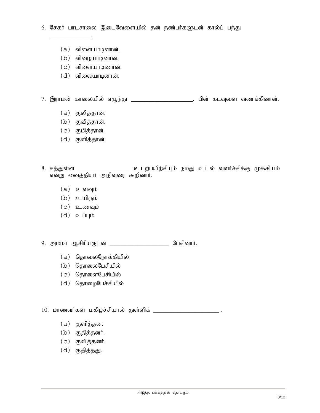6. சேகர் பாடசாலை இடைவேளையில் தன் நண்பர்களுடன் கால்ப் பந்து

 $(a)$  விளையாடினான்.

\_\_\_\_\_\_\_\_\_\_\_\_.

- $(b)$  விழையாடினான்.
- $(c)$  விளையாடிணான்.
- $(d)$  விலையாடினான்.

7. இராமன் காலையில் எழுந்து \_\_\_\_\_\_\_\_\_\_\_\_\_\_\_\_\_\_\_\_\_. பின் கடவுளை வணங்கினான்.

- $(a)$  குலித்தான்.
- $(b)$  குவித்தான்.
- (c) குமித்தான்.
- (d) குளித்தான்.
- 8. சத்துள்ள \_\_\_\_\_\_\_\_\_\_\_\_\_\_\_\_\_\_\_ உடற்பயிற்சியும் நமது உடல் வளர்ச்சிக்கு முக்கியம் என்று வைத்தியர் அறிவுரை கூறினார்.
	- $(a)$  **p**  $\sigma$  and  $\mu$  is
	- $(b)$  உயிரும்
	- $(c)$  **2 ணவு**ம்
	- $(d)$  **p**\_ $\dot{\mathbf{u}}$ µ $\dot{\mathbf{v}}$

9. அம்மா ஆசிரியருடன் \_\_\_\_\_\_\_\_\_\_\_\_\_\_\_\_\_\_\_\_\_ பேசினார்.

- $(a)$  தொலைநோக்கியில்
- $(b)$  தொலைபேசியில்
- $(c)$  தொளைபேசியில்
- $(d)$  தொழைபேச்சியில்

10. மாணவர்கள் மகிழ்ச்சியால் துள்ளிக்

- (a) குளித்தன.
- $(b)$  குதித்தனர்.
- $(c)$  குவித்தனர்.
- $(d)$  குதித்தது.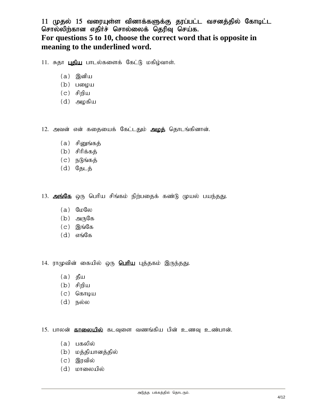#### $11$  (முதல்  $15$  வரையுள்ள வினாக்களுக்கு தரப்பட்ட வசனத்தில் கோடிட்ட சொல்லிற்கான எதிர்ச் சொல்லைக் தெரிவு செய்க. **For questions 5 to 10, choose the correct word that is opposite in meaning to the underlined word.**

11. சுதா புதிய பாடல்களைக் கேட்டு மகிழ்வாள்.

- $(a)$  இனிய
- $(b)$  பழைய
- $(c)$  சிறிய
- $(d)$  அழகிய

12. அவன் என் கதையைக் கேட்டதும் <mark>அழக்</mark> தொடங்கினான்.

- $(a)$  சினுங்கத்
- $(b)$  சிரிக்கத்
- $(c)$  நடுங்கத்
- (d) நேடத்

13. அங்கே ஒரு பெரிய சிங்கம் நிற்பதைக் கண்டு முயல் பயந்தது.

- $(a)$  GuGo
- $(b)$  அருகே
- $(c)$  இங்கே
- $(d)$  எங்கே

14. ராமுவின் கையில் ஒரு **பெரிய** புத்தகம் இருந்தது.

- $(a)$  தீய
- $(b)$  சிறிய
- $(c)$  கொடிய
- $(d)$  நல்ல

15. பாலன் **தாலையில்** கடவுளை வணங்கிய பின் உணவு உண்பான்.

- $(a)$  பகலில்
- (b) மத்தியானத்தில்
- $(c)$  இரவில்
- (d) மாலையில்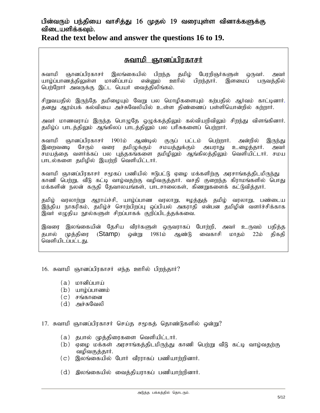#### பின்வரும் பந்தியை வாசித்து 16 முதல் 19 வரையுள்ள வினாக்களுக்கு விடையளிக்கவும்.

**Read the text below and answer the questions 16 to 19.**

ا<br>Realit Mandi Ghodgiga; Ghodgiga; <mark>தவாமி ஞானப்பிரகாசர்</mark><br>கவாமி ஞானப்பிரகாசர் இலங்கையில் பிறந்த தமிழ் பேரறிஞர்களுள் ஒருவர். அவர் யாம்ப்பாணக்கிலள்ள மானிப்பாய் என்மை ஊரில் பிறந்கார். இளமைப் பருவக்கில் பெற்றோர் அவருக்கு இட்ட பெயர் வைத்திலிங்கம்.

சிறுவயதில் இருந்தே தமிழையும் வேறு பல மொழிகளையும் கற்பதில் ஆர்வம் காட்டினார்.<br>தனது ஆரம்பக் கல்வியை அச்சுவேலியில் உள்ள திண்ணைப் பள்ளியொன்றில் கற்றார்.

அவர் மாணவராய் இருந்த பொழுதே ஒழுக்கத்திலும் கல்வியறிவிலும் சிறந்து விளங்கினார். தமிழ்ப் பாடத்திலும் ஆங்கிலப் பாடத்திலும் பல பரிசுகளைப் பெற்றார்.

சுவாமி ஞானப்பிரகாசர் 1901ம் ஆண்டில் குருப் பட்டம் பெற்றார். அன்றில் இருந்து<br>இறைவனடி சேரும் வரை தமிழுக்கும் சமயத்துக்கும் அயராது உமைக்கார். அவர் வரை தமிழுக்கும் சமயத்துக்கும் அயராது உழைத்தார். அவர் சமயத்தை வளர்க்கப் பல புத்தகங்களை தமிழிலும் ஆங்கிலத்திலும் வெளியிட்டார். சமய பாடல்களை தமிழில் இயற்றி வெளியிட்டார்.

சுவாமி ஞானப்பிரகாசர் சமூகப் பணியில் ஈடுபட்டு ஏழை மக்களிற்கு அரசாங்கத்திடமிருந்து காணி பெற்று, வீடு கட்டி வாழ்வதற்கு வழிவகுத்தார். வசதி குறைந்த கிராமங்களில் பொது மக்களின் நலன் கருதி தேவாலயங்கள், பாடசாலைகள், கிணறுகளைக் கட்டுவித்தார்.

தமிழ் வரலாற்று ஆராய்ச்சி, யாழ்ப்பாண வரலாறு, ஈழத்துத் தமிழ் வரலாறு, பண்டைய இந்திய நாகரிகம், தமிழ்ச் சொற்பிறப்பு ஒப்பியல் அகராதி என்பன தமிழின் வளர்ச்சிக்காக .<br>இவர் எழுதிய நூல்களுள் சிறப்பாகக் குறிப்பிடத்தக்கவை.

இவரை இலங்கையின் தேசிய வீரர்களுள் ஒருவராகப் போற்றி, அவர் உருவம் பதித்த தபால் முத்திரை (**Stamp**) ஒன்று 1981ம் ஆண்டு வைகாசி மாதம் 22ம் திகதி வெளியிடப்பட்டது.

16. சுவாமி ஞானப்பிரகாசர் எந்த ஊரில் பிறந்தார்?

- $(a)$   $\iota$  corresponding  $(i)$
- $(b)$  யாழ்ப்பாணம்
- $(c)$  சங்கானை
- $(d)$  அச்சுவேலி

17. சுவாமி ஞானப்பிரகாசர் செய்த சமூகத் தொண்டுகளில் ஒன்று?

- (a) தபால் முத்திரைகளை வெளியிட்டார்.
- (b) ஏழை மக்கள் அரசாங்கத்திடமிருந்து காணி பெற்று வீடு கட்டி வாழ்வதற்கு வமிவகுத்தார்.
- $(c)$  இலங்கையில் போர் வீரராகப் பணியாற்றினார்.
- $(d)$  இலங்கையில் வைத்தியராகப் பணியாற்றினார்.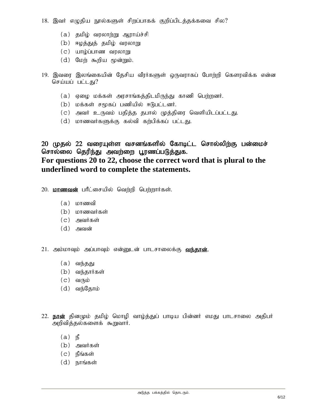$18.$  இவர் எழுதிய நூல்களுள் சிறப்பாகக் குறிப்பிடத்தக்கவை சில?

- $(a)$  தமிழ் வரலாற்று ஆராய்ச்சி
- $(b)$  ஈழத்துத் தமிழ் வரலாறு
- $(c)$  யாழ்ப்பாண வரலாறு
- $(d)$  மேற் கூறிய மூன்றும்.
- 19. இவரை இலங்கையின் தேசிய வீரர்களுள் ஒருவராகப் போற்றி கௌரவிக்க என்ன செய்யப் பட்டது?
	- (a) ஏழை மக்கள் அரசாங்கத்திடமிருந்து காணி பெற்றனர்.
	- (b) மக்கள் சமூகப் பணியில் ஈடுபட்டனர்.
	- (c) அவர் உருவம் பதித்த தபால் முத்திரை வெளியிடப்பட்டது.
	- $(d)$  மாணவர்களுக்கு கல்வி கற்பிக்கப் பட்டது.

20 முதல் 22 வரையுள்ள வசனங்களில் கோடிட்ட சொல்லிற்கு பன்மைச் சொல்லை தெரிந்து அவற்றை பூரணப்படுத்துக. **For questions 20 to 22, choose the correct word that is plural to the underlined word to complete the statements.** 

20. **மாணவன்** பரீட்சையில் வெற்றி பெற்றார்கள்.

- $(a)$  மாணவி
- (b) மாணவர்கள்
- $(c)$  அவர்கள்
- $(d)$  அவன்

21. அம்மாவும் அப்பாவும் என்னுடன் பாடசாலைக்கு **வந்தான்.** 

- $(a)$  வந்தது
- $(b)$  வந்தார்கள்
- $(c)$  வரும்
- $(d)$  வந்தோம்
- 22. **நான்** தினமும் தமிழ் மொழி வாழ்த்துப் பாடிய பின்னர் எமது பாடசாலை அதிபர் அறிவித்தல்களைக் கூறுவார்.
	- $(a)$   $\mathbb{B}$
	- $(b)$  அவர்கள்
	- $(c)$  நீங்கள்
	- $(d)$  நாங்கள்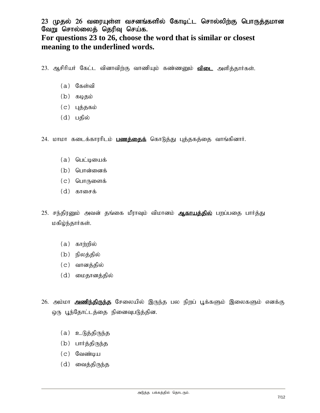23 முதல் 26 வரையுள்ள வசனங்களில் கோடிட்ட சொல்லிற்கு பொருத்தமான வேறு சொல்லைத் தெரிவு செய்க.

#### **For questions 23 to 26, choose the word that is similar or closest meaning to the underlined words.**

23. ஆசிரியர் கேட்ட வினாவிற்கு வாணியும் கண்ணனும் <mark>விடை</mark> அளித்தார்கள்.

- $(a)$  கேள்வி
- $(b)$  கடிதம்
- $(c)$  цத்தகம்
- $(d)$  பதில்

24. மாமா கடைக்காரரிடம் **பணத்தைக்** கொடுத்து புத்தகத்தை வாங்கினார்.

- $(a)$  பெட்டியைக்
- $(b)$  பொன்னைக்
- (c) பொருளைக்
- $(d)$  காசைக்
- 25. சந்திரனும் அவன் தங்கை மீராவும் விமானம் **ஆ<u>காயத்தில்</u> பறப்பதை பார்த்து** மகிழ்ந்தார்கள்.
	- $(a)$  காற்றில்
	- (b) நிலத்தில்
	- (c) வானத்தில்
	- (d) மைதானத்தில்
- 26. அம்மா **அணிந்திருந்த** சேலையில் இருந்த பல நிறப் பூக்களும் இலைகளும் எனக்கு ஒரு பூந்தோட்டத்தை நினைவுபடுத்தின.
	- $(a)$  உடுத்திருந்த
	- (b) பார்த்திருந்த
	- $(c)$  வேண்டிய
	- (d) வைத்திருந்த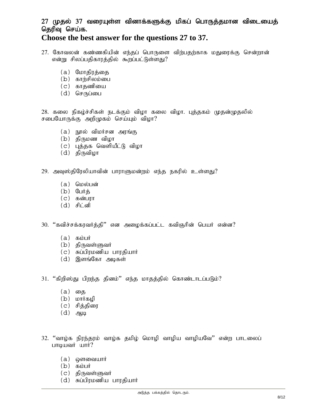### 27 முதல் 37 வரையுள்ள வினாக்களுக்கு மிகப் பொருத்தமான விடையைத் தெரிவு செய்க.

#### **Choose the best answer for the questions 27 to 37.**

- 27. கோவலன் கண்ணகியின் எந்தப் பொருளை விற்பதற்காக மதுரைக்கு சென்றான் என்று சிலப்பதிகாரத்தில் கூறப்பட்டுள்ளது?
	- (a) மோதிரத்தை
	- $(b)$  காற்சிலம்பை
	- $(c)$  காதணியை
	- $(d)$  செருப்பை

28. கலை நிகழ்ச்சிகள் நடக்கும் விழா கலை விழா. புத்தகம் முதன்முதலில் சபையோருக்கு அறிமுகம் செய்யும் விழா?

- $(a)$  நூல் விமர்சன அரங்கு
- $(b)$  திருமண விழா
- $(c)$  புத்தக வெளியீட்டு விழா
- $(d)$  திருவிழா
- 29. அவுஸ்திரேலியாவின் பாராளுமன்றம் எந்த நகரில் உள்ளது?
	- (a) மெல்பன்
	- $(b)$  பேர்க்
	- $(c)$  கன்பரா
	- $(d)$  சிட்னி

 $30.$  "கவிச்சக்கரவர்த்தி" என அழைக்கப்பட்ட கவிஞரின் பெயர் என்ன?

- $(a)$   $\delta$ <sub>b</sub>ight
- $(b)$  திருவள்ளுவர்
- $(c)$  சுப்பிரமணிய பாரதியார்
- $(d)$  இளங்கோ அடிகள்
- $31.$  "கிறிஸ்து பிறந்த தினம்" எந்த மாதத்தில் கொண்டாடப்படும்?
	- (a) தை
	- $(b)$   $\mu$ Thing  $(b)$
	- (c) சித்திரை
	- $(d)$  ஆடி
- 32. "வாழ்க நிரந்தரம் வாழ்க தமிழ் மொழி வாழிய வாழியவே'' என்ற பாடலைப் பாடியவர் யார்?
	- $(a)$  @ளவையார்
	- $(b)$   $\delta$ <sub>b</sub> $\mu$
	- $(c)$  திருவள்ளுவர்
	- $(d)$  சுப்பிரமணிய பாரதியார்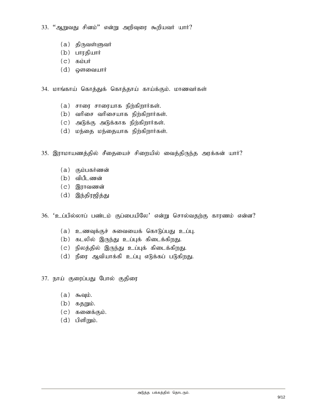$33.$  "ஆறுவது சினம்" என்று அறிவுரை கூறியவர் யார்?

- $(a)$  திருவள்ளுவர்
- (b) பாரதியார்
- $(c)$   $\delta$  abuit
- $(d)$  ஒளவையார்
- 34. மாங்காய் கொத்துக் கொத்தாய் காய்க்கும். மாணவர்கள்
	- $(a)$  சாரை சாரையாக நிற்கிறார்கள்.
	- $(b)$  வரிசை வரிசையாக நிற்கிறார்கள்.
	- $(c)$  அடுக்கு அடுக்காக நிற்கிறார்கள்.
	- $(d)$  மந்தை மந்தையாக நிற்கிறார்கள்.
- 35. இராமாயணத்தில் சீதையைச் சிறையில் வைத்திருந்த அரக்கன் யார்?
	- $(a)$  கும்பகர்ணன்
	- $(b)$  விபீடணன்
	- $(c)$  இராவணன்
	- $(d)$  இந்திரஜித்து

36. 'உப்பில்லாப் பண்டம் குப்பையிலே' என்று சொல்வதற்கு காரணம் என்ன?

- $(a)$  உணவுக்குச் சுவையைக் கொடுப்பது உப்பு.
- $(b)$  கடலில் இருந்து உப்புக் கிடைக்கிறது.
- (c) நிலத்தில் இருந்து உப்புக் கிடைக்கிறது.
- $(d)$  நீரை ஆவியாக்கி உப்பு எடுக்கப் படுகிறது.
- 37. நாய் குரைப்பது போல் குதிரை
	- $(a)$  கூவும்.
	- $(b)$  கதறும்.
	- $(c)$  கனைக்கும்.
	- $(d)$  பிளிறும்.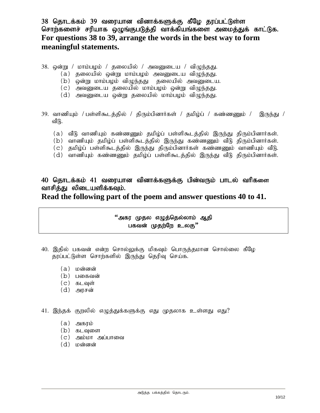38 தொடக்கம் 39 வரையான வினாக்களுக்கு கீழே தரப்பட்டுள்ள சொற்களைச் சரியாக ஒழுங்குபடுத்தி வாக்கியங்களை அமைத்துக் காட்டுக. **For questions 38 to 39, arrange the words in the best way to form meaningful statements.** 

- $38.$  ஒன்று / மாம்பழம் / தலையில் / அவனுடைய / விழுந்தது.
	- $(a)$  தலையில் ஒன்று மாம்பழம் அவனுடைய விழுந்தது.
	- $(b)$  ஒன்று மாம்பழம் விழுந்தது கலையில் அவனுடைய.
	- $(c)$  அவனுடைய தலையில் மாம்பழம் ஒன்று விழுந்தது.
	- $(d)$  அவனுடைய ஒன்று தலையில் மாம்பழம் விழுந்தது.
- 39. வாணியும் / பள்ளிகூடத்தில் / திரும்பினார்கள் / தமிழ்ப் / கண்ணணும் / இருந்து / வீடு.
	- (a) வீடு வாணியும் கண்ணணும் தமிழ்ப் பள்ளிகூடத்தில் இருந்து திரும்பினார்கள்.
	- $(b)$  வாணியும் தமிழ்ப் பள்ளிகூடத்தில் இருந்து கண்ணணும் வீடு திரும்பினார்கள்.
	- (c) தமிழ்ப் பள்ளிகூடத்தில் இருந்து திரும்பினார்கள் கண்ணணும் வாணியும் வீடு.
	- (d) வாணியும் கண்ணணும் தமிழ்ப் பள்ளிகூடத்தில் இருந்து வீடு திரும்பினார்கள்.

# 40 தொடக்கம் 41 வரையான வினாக்களுக்கு பின்வரும் பாடல் வரிகளை<br>வாசித்து லிடையளிக்கவும்.

**Read the following part of the poem and answer questions 40 to 41.** 

#### **''**அகர முதல எழுத்தெல்லாம் ஆதி பகவன் முதற்றே உலகு<sup>?</sup>'

- 40. இதில் பகவன் என்ற சொல்லுக்கு மிகவும் பொருத்தமான சொல்லை கீழே தரப்பட்டுள்ள சொற்களில் இருந்து தெரிவு செய்க.
	- $(a)$  மன்னன்
	- $(b)$  பகைவன்
	- $(c)$  கடவுள்
	- $(d)$  அரசன்
- 41. இந்தக் குறலில் எழுத்துக்களுக்கு எது முதலாக உள்ளது எது?
	- $(a)$  அகரம்
	- $(b)$  கடவுளை
	- $(c)$  அம்மா அப்பாவை
	- $(d)$  மன்னன்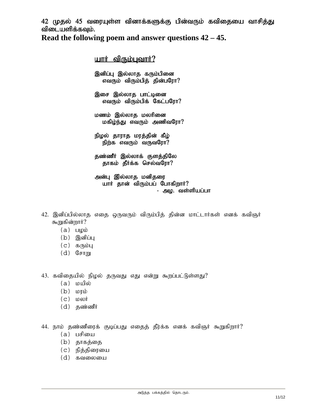42 (முதல் 45 வரையுள்ள வினாக்களுக்கு பின்வரும் கவிதையை வாசித்து விடையளிக்கவும்.

**Read the following poem and answer questions 42 – 45.** 

 $I$ யார் விரும்பவார்? இனிப்பு இல்லாத கரும்பினை எவரும் விரும்பித் தின்பரோ $?$ இசை இல்லாத பாட்டினை எவரும் விரும்பிக் கேட்பரோ $?$ மணம் இல்லாத மலரினை மகிழ்ந்து எவரும் அணிவரோ? நிழல் தாராத மரத்தின் கீழ் நிற்க எவரும் வருவரோ $?$ தண்ணீர் இல்லாக் குளத்திலே

தாகம் தீர்க்க செல்வரோ? அன்பு இல்லாத மனிதரை

uார் தான் விரும்பப் போகிறார்?<br>- அழ. வள்ளியப்பா

- 42. இனிப்பில்லாத எதை ஒருவரும் விரும்பித் தின்ன மாட்டார்கள் எனக் கவிஞர் கூறுகின்றார்?
	- $(a)$   $\Box$
	- $(b)$  இனிப்பு
	- $(c)$  கரும்பு
	- $(d)$   $\mathbb{G}$   $\mathbb{F}$   $\mathbb{F}$   $\mathbb{F}$

43. கவிதையில் நிழல் தருவது எது என்று கூறப்பட்டுள்ளது?

- $(a)$  மயில்
- $(b)$   $L$
- $(c)$  LDesort
- $(d)$  தண்ணீர்

44. நாம் தண்ணீரைக் குடிப்பது எதைத் தீர்க்க எனக் கவிஞர் கூறுகிறார்?

- $(a)$  பசியை
- (b) தாகத்தை
- (c) நித்திரையை
- $(d)$   $\delta$ வலையை